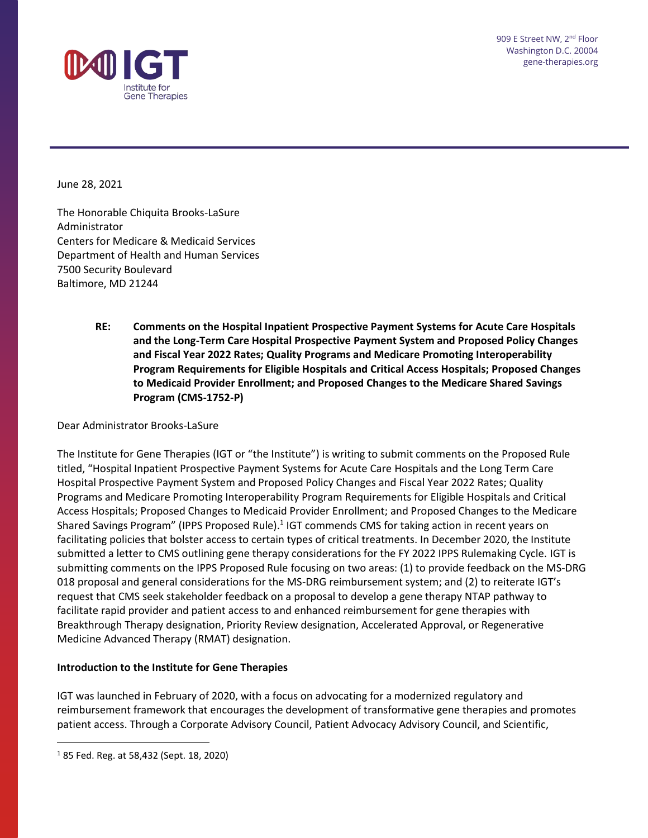

June 28, 2021

The Honorable Chiquita Brooks-LaSure Administrator Centers for Medicare & Medicaid Services Department of Health and Human Services 7500 Security Boulevard Baltimore, MD 21244

> **RE: Comments on the Hospital Inpatient Prospective Payment Systems for Acute Care Hospitals and the Long-Term Care Hospital Prospective Payment System and Proposed Policy Changes and Fiscal Year 2022 Rates; Quality Programs and Medicare Promoting Interoperability Program Requirements for Eligible Hospitals and Critical Access Hospitals; Proposed Changes to Medicaid Provider Enrollment; and Proposed Changes to the Medicare Shared Savings Program (CMS-1752-P)**

Dear Administrator Brooks-LaSure

The Institute for Gene Therapies (IGT or "the Institute") is writing to submit comments on the Proposed Rule titled, "Hospital Inpatient Prospective Payment Systems for Acute Care Hospitals and the Long Term Care Hospital Prospective Payment System and Proposed Policy Changes and Fiscal Year 2022 Rates; Quality Programs and Medicare Promoting Interoperability Program Requirements for Eligible Hospitals and Critical Access Hospitals; Proposed Changes to Medicaid Provider Enrollment; and Proposed Changes to the Medicare Shared Savings Program" (IPPS Proposed Rule).<sup>1</sup> IGT commends CMS for taking action in recent years on facilitating policies that bolster access to certain types of critical treatments. In December 2020, the Institute submitted a letter to CMS outlining gene therapy considerations for the FY 2022 IPPS Rulemaking Cycle. IGT is submitting comments on the IPPS Proposed Rule focusing on two areas: (1) to provide feedback on the MS-DRG 018 proposal and general considerations for the MS-DRG reimbursement system; and (2) to reiterate IGT's request that CMS seek stakeholder feedback on a proposal to develop a gene therapy NTAP pathway to facilitate rapid provider and patient access to and enhanced reimbursement for gene therapies with Breakthrough Therapy designation, Priority Review designation, Accelerated Approval, or Regenerative Medicine Advanced Therapy (RMAT) designation.

#### **Introduction to the Institute for Gene Therapies**

IGT was launched in February of 2020, with a focus on advocating for a modernized regulatory and reimbursement framework that encourages the development of transformative gene therapies and promotes patient access. Through a Corporate Advisory Council, Patient Advocacy Advisory Council, and Scientific,

<sup>1</sup> 85 Fed. Reg. at 58,432 (Sept. 18, 2020)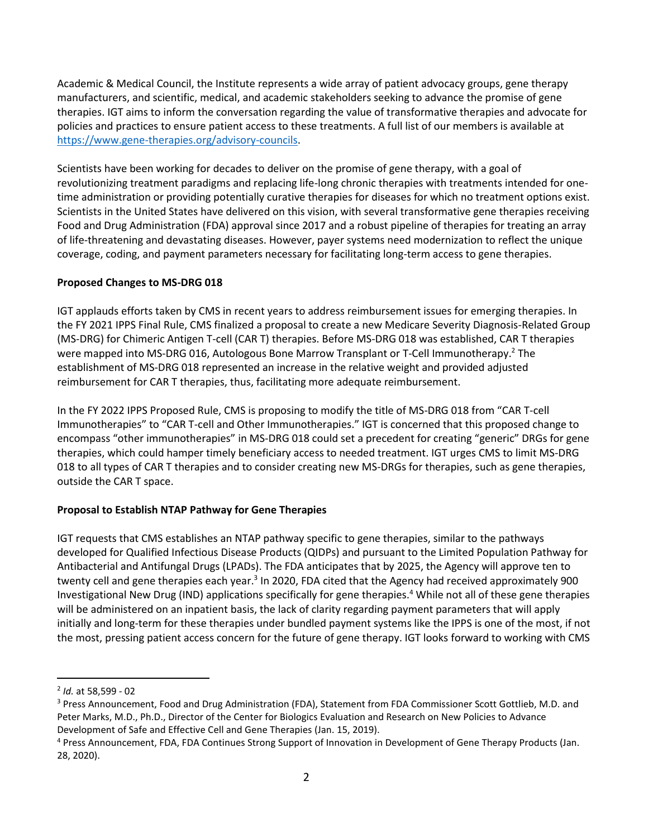Academic & Medical Council, the Institute represents a wide array of patient advocacy groups, gene therapy manufacturers, and scientific, medical, and academic stakeholders seeking to advance the promise of gene therapies. IGT aims to inform the conversation regarding the value of transformative therapies and advocate for policies and practices to ensure patient access to these treatments. A full list of our members is available at [https://www.gene-therapies.org/advisory-councils.](https://www.gene-therapies.org/advisory-councils)

Scientists have been working for decades to deliver on the promise of gene therapy, with a goal of revolutionizing treatment paradigms and replacing life-long chronic therapies with treatments intended for onetime administration or providing potentially curative therapies for diseases for which no treatment options exist. Scientists in the United States have delivered on this vision, with several transformative gene therapies receiving Food and Drug Administration (FDA) approval since 2017 and a robust pipeline of therapies for treating an array of life-threatening and devastating diseases. However, payer systems need modernization to reflect the unique coverage, coding, and payment parameters necessary for facilitating long-term access to gene therapies.

## **Proposed Changes to MS-DRG 018**

IGT applauds efforts taken by CMS in recent years to address reimbursement issues for emerging therapies. In the FY 2021 IPPS Final Rule, CMS finalized a proposal to create a new Medicare Severity Diagnosis-Related Group (MS-DRG) for Chimeric Antigen T-cell (CAR T) therapies. Before MS-DRG 018 was established, CAR T therapies were mapped into MS-DRG 016, Autologous Bone Marrow Transplant or T-Cell Immunotherapy.<sup>2</sup> The establishment of MS-DRG 018 represented an increase in the relative weight and provided adjusted reimbursement for CAR T therapies, thus, facilitating more adequate reimbursement.

In the FY 2022 IPPS Proposed Rule, CMS is proposing to modify the title of MS-DRG 018 from "CAR T-cell Immunotherapies" to "CAR T-cell and Other Immunotherapies." IGT is concerned that this proposed change to encompass "other immunotherapies" in MS-DRG 018 could set a precedent for creating "generic" DRGs for gene therapies, which could hamper timely beneficiary access to needed treatment. IGT urges CMS to limit MS-DRG 018 to all types of CAR T therapies and to consider creating new MS-DRGs for therapies, such as gene therapies, outside the CAR T space.

# **Proposal to Establish NTAP Pathway for Gene Therapies**

IGT requests that CMS establishes an NTAP pathway specific to gene therapies, similar to the pathways developed for Qualified Infectious Disease Products (QIDPs) and pursuant to the Limited Population Pathway for Antibacterial and Antifungal Drugs (LPADs). The FDA anticipates that by 2025, the Agency will approve ten to twenty cell and gene therapies each year.<sup>3</sup> In 2020, FDA cited that the Agency had received approximately 900 Investigational New Drug (IND) applications specifically for gene therapies.<sup>4</sup> While not all of these gene therapies will be administered on an inpatient basis, the lack of clarity regarding payment parameters that will apply initially and long-term for these therapies under bundled payment systems like the IPPS is one of the most, if not the most, pressing patient access concern for the future of gene therapy. IGT looks forward to working with CMS

<sup>2</sup> *Id.* at 58,599 - 02

<sup>&</sup>lt;sup>3</sup> Press Announcement, Food and Drug Administration (FDA), Statement from FDA Commissioner Scott Gottlieb, M.D. and Peter Marks, M.D., Ph.D., Director of the Center for Biologics Evaluation and Research on New Policies to Advance Development of Safe and Effective Cell and Gene Therapies (Jan. 15, 2019).

<sup>4</sup> Press Announcement, FDA, FDA Continues Strong Support of Innovation in Development of Gene Therapy Products (Jan. 28, 2020).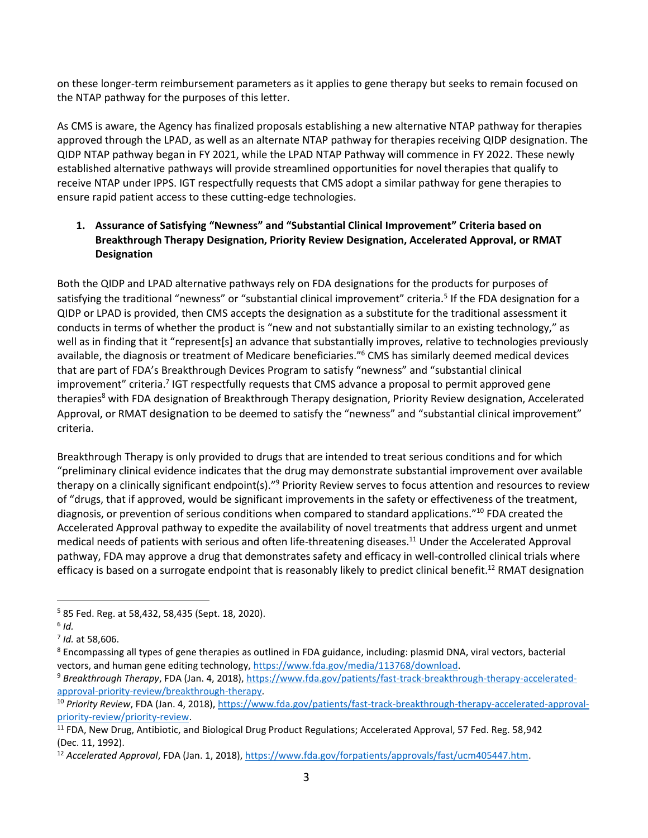on these longer-term reimbursement parameters as it applies to gene therapy but seeks to remain focused on the NTAP pathway for the purposes of this letter.

As CMS is aware, the Agency has finalized proposals establishing a new alternative NTAP pathway for therapies approved through the LPAD, as well as an alternate NTAP pathway for therapies receiving QIDP designation. The QIDP NTAP pathway began in FY 2021, while the LPAD NTAP Pathway will commence in FY 2022. These newly established alternative pathways will provide streamlined opportunities for novel therapies that qualify to receive NTAP under IPPS. IGT respectfully requests that CMS adopt a similar pathway for gene therapies to ensure rapid patient access to these cutting-edge technologies.

## **1. Assurance of Satisfying "Newness" and "Substantial Clinical Improvement" Criteria based on Breakthrough Therapy Designation, Priority Review Designation, Accelerated Approval, or RMAT Designation**

Both the QIDP and LPAD alternative pathways rely on FDA designations for the products for purposes of satisfying the traditional "newness" or "substantial clinical improvement" criteria.<sup>5</sup> If the FDA designation for a QIDP or LPAD is provided, then CMS accepts the designation as a substitute for the traditional assessment it conducts in terms of whether the product is "new and not substantially similar to an existing technology," as well as in finding that it "represent[s] an advance that substantially improves, relative to technologies previously available, the diagnosis or treatment of Medicare beneficiaries."<sup>6</sup> CMS has similarly deemed medical devices that are part of FDA's Breakthrough Devices Program to satisfy "newness" and "substantial clinical improvement" criteria.<sup>7</sup> IGT respectfully requests that CMS advance a proposal to permit approved gene therapies<sup>8</sup> with FDA designation of Breakthrough Therapy designation, Priority Review designation, Accelerated Approval, or RMAT designation to be deemed to satisfy the "newness" and "substantial clinical improvement" criteria.

Breakthrough Therapy is only provided to drugs that are intended to treat serious conditions and for which "preliminary clinical evidence indicates that the drug may demonstrate substantial improvement over available therapy on a clinically significant endpoint(s)."<sup>9</sup> Priority Review serves to focus attention and resources to review of "drugs, that if approved, would be significant improvements in the safety or effectiveness of the treatment, diagnosis, or prevention of serious conditions when compared to standard applications."<sup>10</sup> FDA created the Accelerated Approval pathway to expedite the availability of novel treatments that address urgent and unmet medical needs of patients with serious and often life-threatening diseases.<sup>11</sup> Under the Accelerated Approval pathway, FDA may approve a drug that demonstrates safety and efficacy in well-controlled clinical trials where efficacy is based on a surrogate endpoint that is reasonably likely to predict clinical benefit.<sup>12</sup> RMAT designation

<sup>5</sup> 85 Fed. Reg. at 58,432, 58,435 (Sept. 18, 2020).

<sup>6</sup> *Id.*

<sup>7</sup> *Id.* at 58,606.

<sup>&</sup>lt;sup>8</sup> Encompassing all types of gene therapies as outlined in FDA guidance, including: plasmid DNA, viral vectors, bacterial vectors, and human gene editing technology[, https://www.fda.gov/media/113768/download.](https://www.fda.gov/media/113768/download)

<sup>9</sup> *Breakthrough Therapy*, FDA (Jan. 4, 2018), [https://www.fda.gov/patients/fast-track-breakthrough-therapy-accelerated](https://www.fda.gov/patients/fast-track-breakthrough-therapy-accelerated-approval-priority-review/breakthrough-therapy)[approval-priority-review/breakthrough-therapy.](https://www.fda.gov/patients/fast-track-breakthrough-therapy-accelerated-approval-priority-review/breakthrough-therapy)

<sup>&</sup>lt;sup>10</sup> Priority Review, FDA (Jan. 4, 2018), [https://www.fda.gov/patients/fast-track-breakthrough-therapy-accelerated-approval](https://www.fda.gov/patients/fast-track-breakthrough-therapy-accelerated-approval-priority-review/priority-review)[priority-review/priority-review.](https://www.fda.gov/patients/fast-track-breakthrough-therapy-accelerated-approval-priority-review/priority-review)

<sup>&</sup>lt;sup>11</sup> FDA, New Drug, Antibiotic, and Biological Drug Product Regulations; Accelerated Approval, 57 Fed. Reg. 58,942 (Dec. 11, 1992).

<sup>12</sup> *Accelerated Approval*, FDA (Jan. 1, 2018), [https://www.fda.gov/forpatients/approvals/fast/ucm405447.htm.](https://www.fda.gov/forpatients/approvals/fast/ucm405447.htm)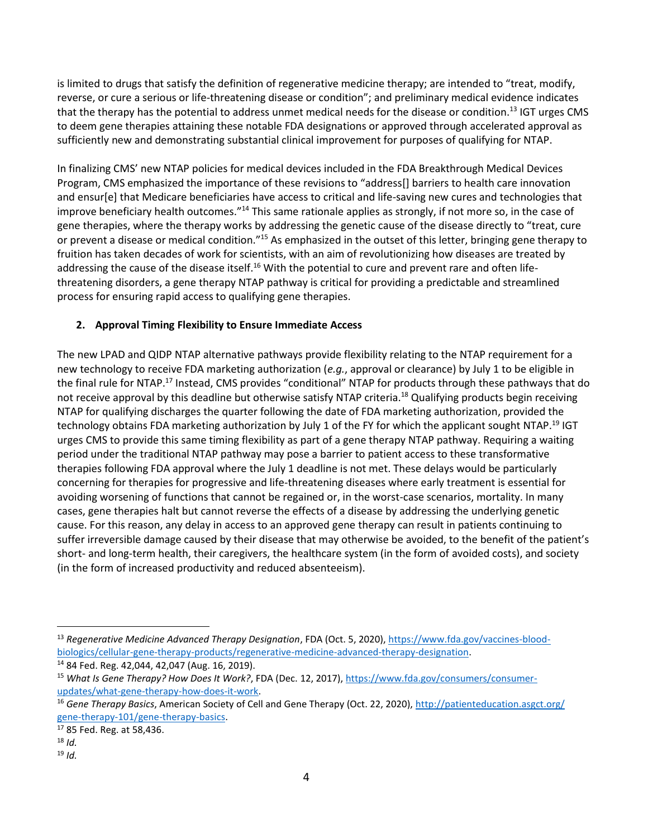is limited to drugs that satisfy the definition of regenerative medicine therapy; are intended to "treat, modify, reverse, or cure a serious or life-threatening disease or condition"; and preliminary medical evidence indicates that the therapy has the potential to address unmet medical needs for the disease or condition.<sup>13</sup> IGT urges CMS to deem gene therapies attaining these notable FDA designations or approved through accelerated approval as sufficiently new and demonstrating substantial clinical improvement for purposes of qualifying for NTAP.

In finalizing CMS' new NTAP policies for medical devices included in the FDA Breakthrough Medical Devices Program, CMS emphasized the importance of these revisions to "address[] barriers to health care innovation and ensur[e] that Medicare beneficiaries have access to critical and life-saving new cures and technologies that improve beneficiary health outcomes."<sup>14</sup> This same rationale applies as strongly, if not more so, in the case of gene therapies, where the therapy works by addressing the genetic cause of the disease directly to "treat, cure or prevent a disease or medical condition."<sup>15</sup> As emphasized in the outset of this letter, bringing gene therapy to fruition has taken decades of work for scientists, with an aim of revolutionizing how diseases are treated by addressing the cause of the disease itself.<sup>16</sup> With the potential to cure and prevent rare and often lifethreatening disorders, a gene therapy NTAP pathway is critical for providing a predictable and streamlined process for ensuring rapid access to qualifying gene therapies.

## **2. Approval Timing Flexibility to Ensure Immediate Access**

The new LPAD and QIDP NTAP alternative pathways provide flexibility relating to the NTAP requirement for a new technology to receive FDA marketing authorization (*e.g.*, approval or clearance) by July 1 to be eligible in the final rule for NTAP.<sup>17</sup> Instead, CMS provides "conditional" NTAP for products through these pathways that do not receive approval by this deadline but otherwise satisfy NTAP criteria.<sup>18</sup> Qualifying products begin receiving NTAP for qualifying discharges the quarter following the date of FDA marketing authorization, provided the technology obtains FDA marketing authorization by July 1 of the FY for which the applicant sought NTAP.<sup>19</sup> IGT urges CMS to provide this same timing flexibility as part of a gene therapy NTAP pathway. Requiring a waiting period under the traditional NTAP pathway may pose a barrier to patient access to these transformative therapies following FDA approval where the July 1 deadline is not met. These delays would be particularly concerning for therapies for progressive and life-threatening diseases where early treatment is essential for avoiding worsening of functions that cannot be regained or, in the worst-case scenarios, mortality. In many cases, gene therapies halt but cannot reverse the effects of a disease by addressing the underlying genetic cause. For this reason, any delay in access to an approved gene therapy can result in patients continuing to suffer irreversible damage caused by their disease that may otherwise be avoided, to the benefit of the patient's short- and long-term health, their caregivers, the healthcare system (in the form of avoided costs), and society (in the form of increased productivity and reduced absenteeism).

<sup>18</sup> *Id.*

<sup>13</sup> *Regenerative Medicine Advanced Therapy Designation*, FDA (Oct. 5, 2020), [https://www.fda.gov/vaccines-blood](https://www.fda.gov/vaccines-blood-biologics/cellular-gene-therapy-products/regenerative-medicine-advanced-therapy-designation)[biologics/cellular-gene-therapy-products/regenerative-medicine-advanced-therapy-designation.](https://www.fda.gov/vaccines-blood-biologics/cellular-gene-therapy-products/regenerative-medicine-advanced-therapy-designation)

<sup>14</sup> 84 Fed. Reg. 42,044, 42,047 (Aug. 16, 2019).

<sup>15</sup> *What Is Gene Therapy? How Does It Work?*, FDA (Dec. 12, 2017), [https://www.fda.gov/consumers/consumer](https://www.fda.gov/consumers/consumer-updates/what-gene-therapy-how-does-it-work)[updates/what-gene-therapy-how-does-it-work.](https://www.fda.gov/consumers/consumer-updates/what-gene-therapy-how-does-it-work) 

<sup>16</sup> *Gene Therapy Basics*, American Society of Cell and Gene Therapy (Oct. 22, 2020), [http://patienteducation.asgct.org/](http://patienteducation.asgct.org/%20gene-therapy-101/gene-therapy-basics)  [gene-therapy-101/gene-therapy-basics.](http://patienteducation.asgct.org/%20gene-therapy-101/gene-therapy-basics)

<sup>17</sup> 85 Fed. Reg. at 58,436.

<sup>19</sup> *Id.*